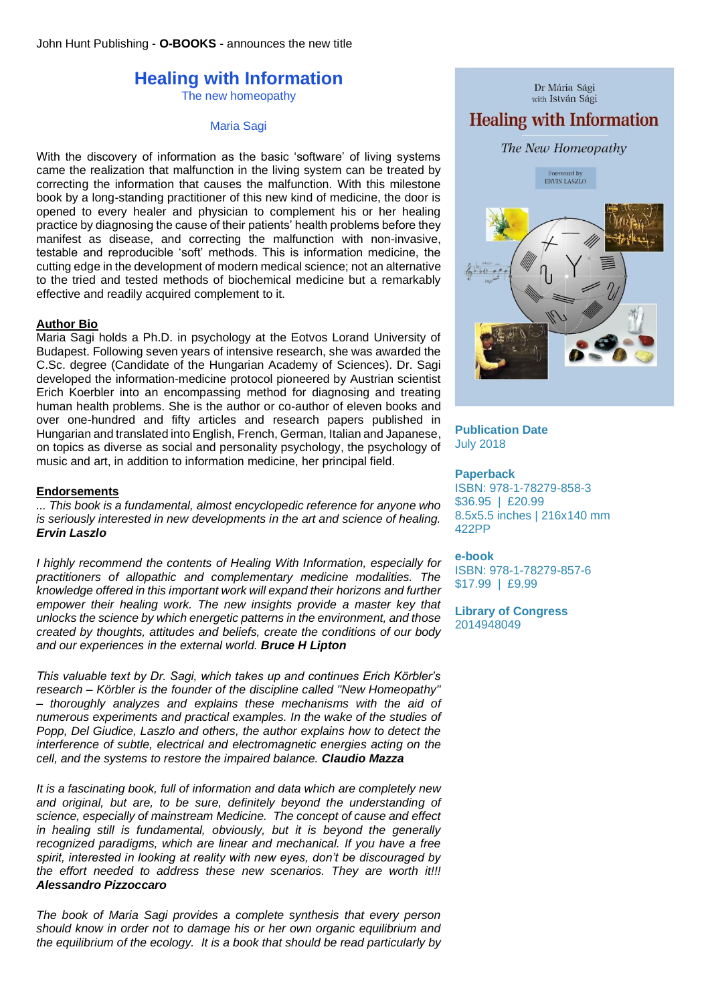# **Healing with Information**

The new homeopathy

Maria Sagi

With the discovery of information as the basic 'software' of living systems came the realization that malfunction in the living system can be treated by correcting the information that causes the malfunction. With this milestone book by a long-standing practitioner of this new kind of medicine, the door is opened to every healer and physician to complement his or her healing practice by diagnosing the cause of their patients' health problems before they manifest as disease, and correcting the malfunction with non-invasive, testable and reproducible 'soft' methods. This is information medicine, the cutting edge in the development of modern medical science; not an alternative to the tried and tested methods of biochemical medicine but a remarkably effective and readily acquired complement to it.

# **Author Bio**

Maria Sagi holds a Ph.D. in psychology at the Eotvos Lorand University of Budapest. Following seven years of intensive research, she was awarded the C.Sc. degree (Candidate of the Hungarian Academy of Sciences). Dr. Sagi developed the information-medicine protocol pioneered by Austrian scientist Erich Koerbler into an encompassing method for diagnosing and treating human health problems. She is the author or co-author of eleven books and over one-hundred and fifty articles and research papers published in Hungarian and translated into English, French, German, Italian and Japanese, on topics as diverse as social and personality psychology, the psychology of music and art, in addition to information medicine, her principal field.

# **Endorsements**

*... This book is a fundamental, almost encyclopedic reference for anyone who is seriously interested in new developments in the art and science of healing. Ervin Laszlo*

*I highly recommend the contents of Healing With Information, especially for practitioners of allopathic and complementary medicine modalities. The knowledge offered in this important work will expand their horizons and further empower their healing work. The new insights provide a master key that unlocks the science by which energetic patterns in the environment, and those created by thoughts, attitudes and beliefs, create the conditions of our body and our experiences in the external world. Bruce H Lipton*

*This valuable text by Dr. Sagi, which takes up and continues Erich Körbler's research – Körbler is the founder of the discipline called "New Homeopathy" – thoroughly analyzes and explains these mechanisms with the aid of numerous experiments and practical examples. In the wake of the studies of Popp, Del Giudice, Laszlo and others, the author explains how to detect the interference of subtle, electrical and electromagnetic energies acting on the cell, and the systems to restore the impaired balance. Claudio Mazza*

*It is a fascinating book, full of information and data which are completely new and original, but are, to be sure, definitely beyond the understanding of science, especially of mainstream Medicine. The concept of cause and effect in healing still is fundamental, obviously, but it is beyond the generally recognized paradigms, which are linear and mechanical. If you have a free spirit, interested in looking at reality with new eyes, don't be discouraged by the effort needed to address these new scenarios. They are worth it!!! Alessandro Pizzoccaro*

*The book of Maria Sagi provides a complete synthesis that every person should know in order not to damage his or her own organic equilibrium and the equilibrium of the ecology. It is a book that should be read particularly by* 



## **Publication Date** July 2018

## **Paperback**

ISBN: 978-1-78279-858-3 \$36.95 | £20.99 8.5x5.5 inches | 216x140 mm 422PP

## **e-book**

ISBN: 978-1-78279-857-6 \$17.99 | £9.99

**Library of Congress** 2014948049